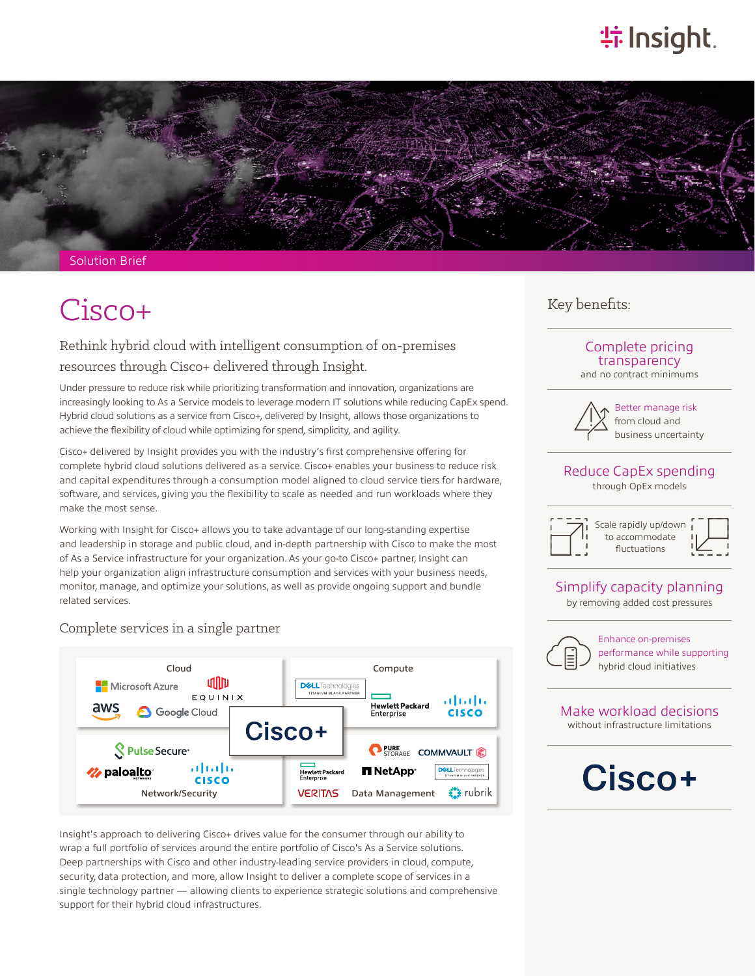## **特Insight**.



Solution Brief

## $Cisco+$  Key benefits:

### Rethink hybrid cloud with intelligent consumption of on-premises resources through Cisco+ delivered through Insight.

Under pressure to reduce risk while prioritizing transformation and innovation, organizations are increasingly looking to As a Service models to leverage modern IT solutions while reducing CapEx spend. Hybrid cloud solutions as a service from Cisco+, delivered by Insight, allows those organizations to achieve the flexibility of cloud while optimizing for spend, simplicity, and agility.

Cisco+ delivered by Insight provides you with the industry's first comprehensive offering for complete hybrid cloud solutions delivered as a service. Cisco+ enables your business to reduce risk and capital expenditures through a consumption model aligned to cloud service tiers for hardware, software, and services, giving you the flexibility to scale as needed and run workloads where they make the most sense.

Working with Insight for Cisco+ allows you to take advantage of our long-standing expertise and leadership in storage and public cloud, and in-depth partnership with Cisco to make the most of As a Service infrastructure for your organization. As your go-to Cisco+ partner, Insight can help your organization align infrastructure consumption and services with your business needs, monitor, manage, and optimize your solutions, as well as provide ongoing support and bundle related services.

### Complete services in a single partner



Insight's approach to delivering Cisco+ drives value for the consumer through our ability to wrap a full portfolio of services around the entire portfolio of Cisco's As a Service solutions. Deep partnerships with Cisco and other industry-leading service providers in cloud, compute, security, data protection, and more, allow Insight to deliver a complete scope of services in a single technology partner — allowing clients to experience strategic solutions and comprehensive support for their hybrid cloud infrastructures.

### Complete pricing transparency

and no contract minimums



Better manage risk from cloud and business uncertainty

#### Reduce CapEx spending through OpEx models

Scale rapidly up/down to accommodate

fluctuations

### Simplify capacity planning

by removing added cost pressures



Enhance on-premises performance while supporting

#### Make workload decisions without infrastructure limitations

# Cisco+